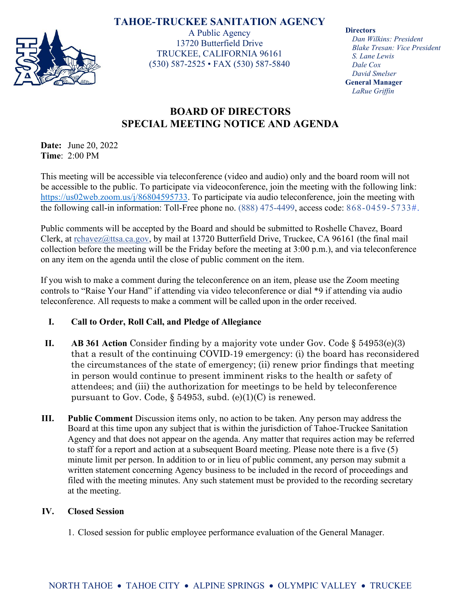## **TAHOE-TRUCKEE SANITATION AGENCY**



A Public Agency 13720 Butterfield Drive TRUCKEE, CALIFORNIA 96161 (530) 587-2525 • FAX (530) 587-5840 **Directors**

*Dan Wilkins: President Blake Tresan: Vice President S. Lane Lewis Dale Cox David Smelser* **General Manager** *LaRue Griffin*

# **BOARD OF DIRECTORS SPECIAL MEETING NOTICE AND AGENDA**

**Date:** June 20, 2022 **Time**: 2:00 PM

This meeting will be accessible via teleconference (video and audio) only and the board room will not be accessible to the public. To participate via videoconference, join the meeting with the following link: [https://us02web.zoom.us/j/86804595733.](https://us02web.zoom.us/j/86804595733) To participate via audio teleconference, join the meeting with the following call-in information: Toll-Free phone no. (888) 475-4499, access code: 868-0459-5733#.

Public comments will be accepted by the Board and should be submitted to Roshelle Chavez, Board Clerk, at [rchavez@ttsa.c](mailto:rchavez@ttsa.)a.gov, by mail at 13720 Butterfield Drive, Truckee, CA 96161 (the final mail collection before the meeting will be the Friday before the meeting at 3:00 p.m.), and via teleconference on any item on the agenda until the close of public comment on the item.

If you wish to make a comment during the teleconference on an item, please use the Zoom meeting controls to "Raise Your Hand" if attending via video teleconference or dial \*9 if attending via audio teleconference. All requests to make a comment will be called upon in the order received.

## **I. Call to Order, Roll Call, and Pledge of Allegiance**

- **II. AB 361 Action** Consider finding by a majority vote under Gov. Code § 54953(e)(3) that a result of the continuing COVID-19 emergency: (i) the board has reconsidered the circumstances of the state of emergency; (ii) renew prior findings that meeting in person would continue to present imminent risks to the health or safety of attendees; and (iii) the authorization for meetings to be held by teleconference pursuant to Gov. Code, § 54953, subd. (e)(1)(C) is renewed.
- **III. Public Comment** Discussion items only, no action to be taken. Any person may address the Board at this time upon any subject that is within the jurisdiction of Tahoe-Truckee Sanitation Agency and that does not appear on the agenda. Any matter that requires action may be referred to staff for a report and action at a subsequent Board meeting. Please note there is a five (5) minute limit per person. In addition to or in lieu of public comment, any person may submit a written statement concerning Agency business to be included in the record of proceedings and filed with the meeting minutes. Any such statement must be provided to the recording secretary at the meeting.

### **IV. Closed Session**

1. Closed session for public employee performance evaluation of the General Manager.